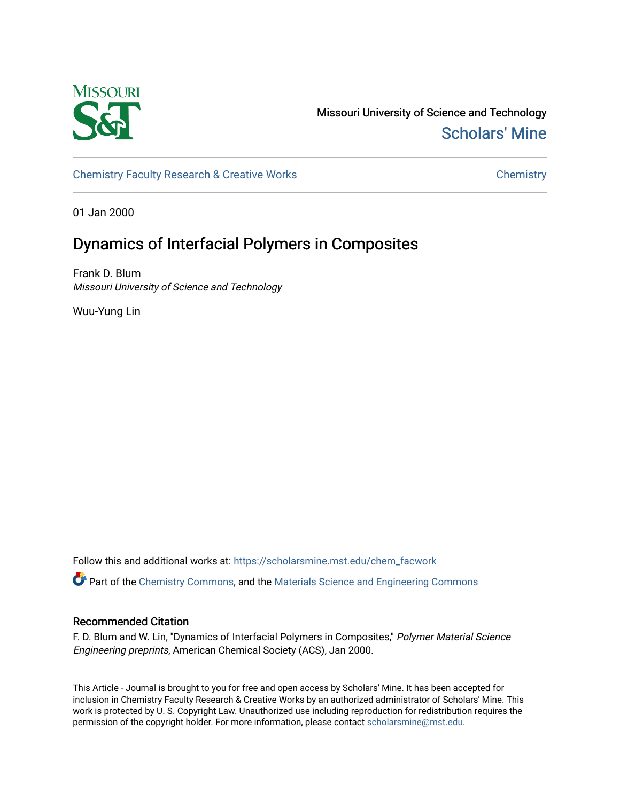

Missouri University of Science and Technology [Scholars' Mine](https://scholarsmine.mst.edu/) 

[Chemistry Faculty Research & Creative Works](https://scholarsmine.mst.edu/chem_facwork) **Chemistry** Chemistry

01 Jan 2000

# Dynamics of Interfacial Polymers in Composites

Frank D. Blum Missouri University of Science and Technology

Wuu-Yung Lin

Follow this and additional works at: [https://scholarsmine.mst.edu/chem\\_facwork](https://scholarsmine.mst.edu/chem_facwork?utm_source=scholarsmine.mst.edu%2Fchem_facwork%2F2403&utm_medium=PDF&utm_campaign=PDFCoverPages)

Part of the [Chemistry Commons,](http://network.bepress.com/hgg/discipline/131?utm_source=scholarsmine.mst.edu%2Fchem_facwork%2F2403&utm_medium=PDF&utm_campaign=PDFCoverPages) and the [Materials Science and Engineering Commons](http://network.bepress.com/hgg/discipline/285?utm_source=scholarsmine.mst.edu%2Fchem_facwork%2F2403&utm_medium=PDF&utm_campaign=PDFCoverPages)

# Recommended Citation

F. D. Blum and W. Lin, "Dynamics of Interfacial Polymers in Composites," Polymer Material Science Engineering preprints, American Chemical Society (ACS), Jan 2000.

This Article - Journal is brought to you for free and open access by Scholars' Mine. It has been accepted for inclusion in Chemistry Faculty Research & Creative Works by an authorized administrator of Scholars' Mine. This work is protected by U. S. Copyright Law. Unauthorized use including reproduction for redistribution requires the permission of the copyright holder. For more information, please contact [scholarsmine@mst.edu](mailto:scholarsmine@mst.edu).